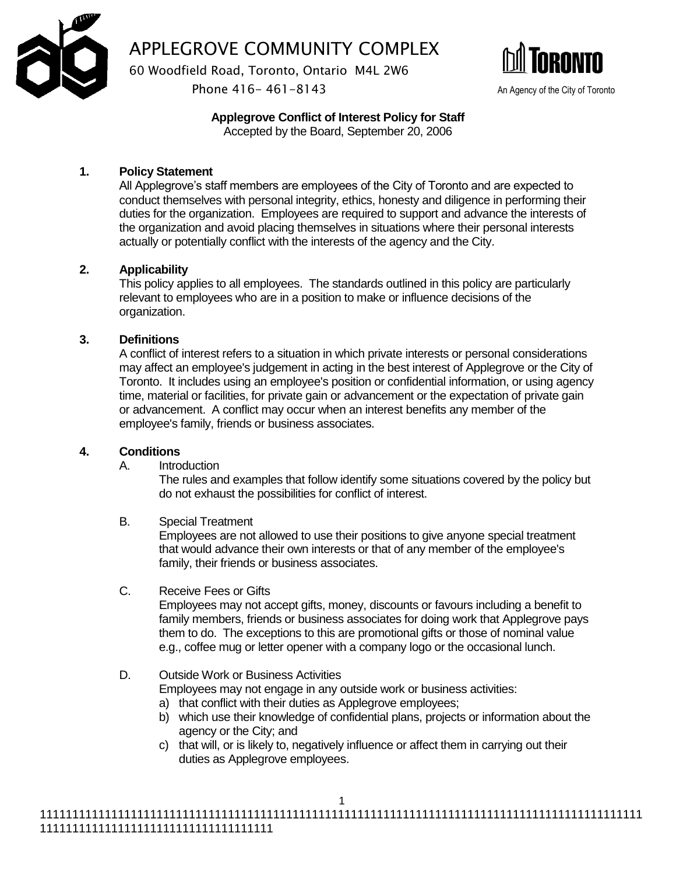

APPLEGROVE COMMUNITY COMPLEX

60 Woodfield Road, Toronto, Ontario M4L 2W6

Phone 416 - 461 - 8143 An Agency of the City of Toronto



**Applegrove Conflict of Interest Policy for Staff** Accepted by the Board, September 20, 2006

# **1. Policy Statement**

All Applegrove's staff members are employees of the City of Toronto and are expected to conduct themselves with personal integrity, ethics, honesty and diligence in performing their duties for the organization. Employees are required to support and advance the interests of the organization and avoid placing themselves in situations where their personal interests actually or potentially conflict with the interests of the agency and the City.

# **2. Applicability**

This policy applies to all employees. The standards outlined in this policy are particularly relevant to employees who are in a position to make or influence decisions of the organization.

# **3. Definitions**

A conflict of interest refers to a situation in which private interests or personal considerations may affect an employee's judgement in acting in the best interest of Applegrove or the City of Toronto. It includes using an employee's position or confidential information, or using agency time, material or facilities, for private gain or advancement or the expectation of private gain or advancement. A conflict may occur when an interest benefits any member of the employee's family, friends or business associates.

### **4. Conditions**

A. Introduction

The rules and examples that follow identify some situations covered by the policy but do not exhaust the possibilities for conflict of interest.

B. Special Treatment

Employees are not allowed to use their positions to give anyone special treatment that would advance their own interests or that of any member of the employee's family, their friends or business associates.

C. Receive Fees or Gifts

Employees may not accept gifts, money, discounts or favours including a benefit to family members, friends or business associates for doing work that Applegrove pays them to do. The exceptions to this are promotional gifts or those of nominal value e.g., coffee mug or letter opener with a company logo or the occasional lunch.

# D. Outside Work or Business Activities

Employees may not engage in any outside work or business activities:

- a) that conflict with their duties as Applegrove employees;
- b) which use their knowledge of confidential plans, projects or information about the agency or the City; and
- c) that will, or is likely to, negatively influence or affect them in carrying out their duties as Applegrove employees.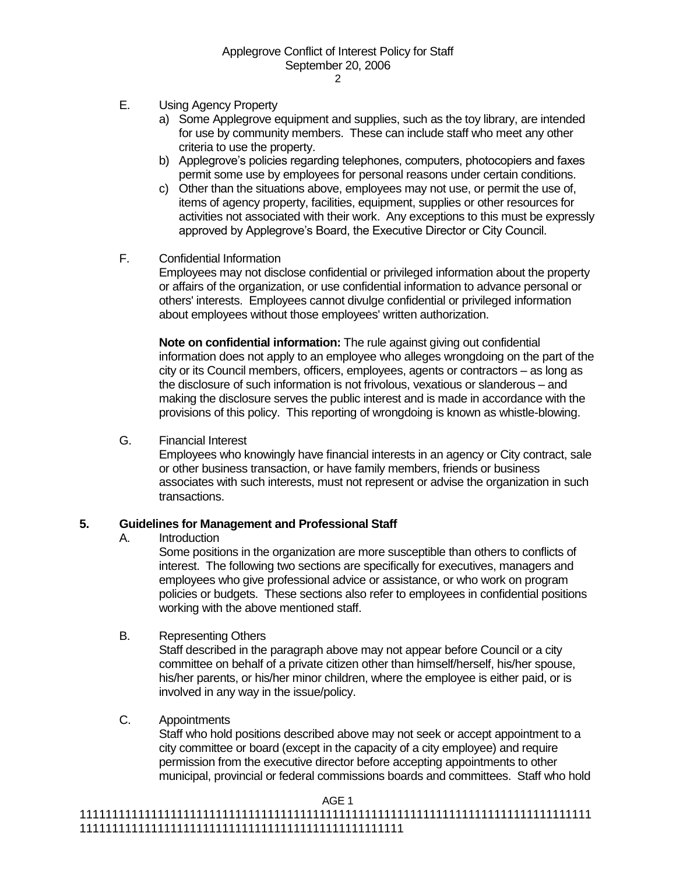- E. Using Agency Property
	- a) Some Applegrove equipment and supplies, such as the toy library, are intended for use by community members. These can include staff who meet any other criteria to use the property.
	- b) Applegrove's policies regarding telephones, computers, photocopiers and faxes permit some use by employees for personal reasons under certain conditions.
	- c) Other than the situations above, employees may not use, or permit the use of, items of agency property, facilities, equipment, supplies or other resources for activities not associated with their work. Any exceptions to this must be expressly approved by Applegrove's Board, the Executive Director or City Council.
- F. Confidential Information

Employees may not disclose confidential or privileged information about the property or affairs of the organization, or use confidential information to advance personal or others' interests. Employees cannot divulge confidential or privileged information about employees without those employees' written authorization.

**Note on confidential information:** The rule against giving out confidential information does not apply to an employee who alleges wrongdoing on the part of the city or its Council members, officers, employees, agents or contractors – as long as the disclosure of such information is not frivolous, vexatious or slanderous – and making the disclosure serves the public interest and is made in accordance with the provisions of this policy. This reporting of wrongdoing is known as whistle-blowing.

G. Financial Interest

Employees who knowingly have financial interests in an agency or City contract, sale or other business transaction, or have family members, friends or business associates with such interests, must not represent or advise the organization in such transactions.

# **5. Guidelines for Management and Professional Staff**

A. Introduction

Some positions in the organization are more susceptible than others to conflicts of interest. The following two sections are specifically for executives, managers and employees who give professional advice or assistance, or who work on program policies or budgets. These sections also refer to employees in confidential positions working with the above mentioned staff.

B. Representing Others

Staff described in the paragraph above may not appear before Council or a city committee on behalf of a private citizen other than himself/herself, his/her spouse, his/her parents, or his/her minor children, where the employee is either paid, or is involved in any way in the issue/policy.

C. Appointments

Staff who hold positions described above may not seek or accept appointment to a city committee or board (except in the capacity of a city employee) and require permission from the executive director before accepting appointments to other municipal, provincial or federal commissions boards and committees. Staff who hold

AGE 1

<sup>1111111111111111111111111111111111111111111111111111111111111111111111111111111</sup> 11111111111111111111111111111111111111111111111111